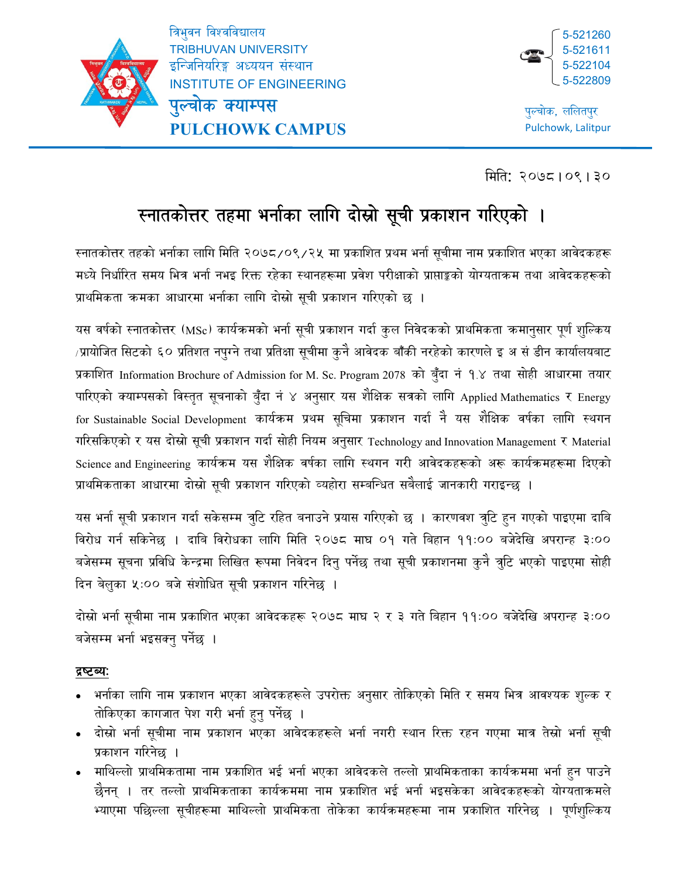

ł

त्रिभुवन विश्वविद्यालय TRIBHUVAN UNIVERSITY इन्जिनियरिङ्ग अध्ययन संस्थान INSTITUTE OF ENGINEERING पुल्चोक क्याम्पस

**PULCHOWK CAMPUS**



पुल्चोक, ललितपुर Pulchowk, Lalitpur

िमित: २०७८।०९।३०

# स्नातकोत्तर तहमा भर्नाका लागि दोस्रो सूची प्रकाशन गरिएको ।

रनातकोत्तर तहको भर्नाका लागि मिति २०७८/०९/२५ मा प्रकाशित प्रथम भर्ना सूचीमा नाम प्रकाशित भएका आवेदकहरू मध्ये निर्धारित समय भित्र भर्ना नभइ रिक्त रहेका स्थानहरूमा प्रवेश परीक्षाको प्राप्ताङ्को योग्यताकम तथा आवेदकहरूको प्राथमिकता कमका आधारमा भर्नाका लागि दोस्रो सूची प्रकाशन गरिएको छ ।

यस वर्षको स्नातकोत्तर (MSc) कार्यक्रमको भर्ना सूची प्रकाशन गर्दा कुल निवेदकको प्राथमिकता कमानुसार पूर्ण शुल्किय /प्रायोजित सिटको ६० प्रतिशत नपुग्ने तथा प्रतिक्षा सूचीमा कुनै आवेदक बाँकी नरहेको कारणले इ अ सं डीन कार्यालयबाट प्रकाशित Information Brochure of Admission for M. Sc. Program 2078 को बुँदा नं १.४ तथा सोही आधारमा तयार पारिएको क्याम्पसको विस्तृत सूचनाको बुँदा नं ४ अनुसार यस शैक्षिक सत्रको लागि Applied Mathematics र Energy for Sustainable Social Development कार्यक्रम प्रथम सूचिमा प्रकाशन गर्दा नै यस शैक्षिक वर्षका लागि स्थगन गरिसकिएको र यस दोस्रो सूची प्रकाशन गर्दा सोही नियम अनुसार Technology and Innovation Management र Material Science and Engineering कार्यक्रम यस शैक्षिक वर्षका लागि स्थगन गरी आवेदकहरूको अरू कार्यक्रमहरूमा दिएको प्राथमिकताका आधारमा दोस्रो सूची प्रकाशन गरिएको व्यहोरा सम्बन्धित सबैलाई जानकारी गराइन्छ ।

यस भर्ना सूची प्रकाशन गर्दा सकेसम्म त्रुटि रहित बनाउने प्रयास गरिएको छ । कारणवश त्रुटि हुन गएको पाइएमा दाबि िवरोध गनर् सिकनेछ । दािब िवरोधका लािग िमित २०७८ माघ ०१ गते िबहान ११:०० बजेदेिख अपरान्ह ३:०० बजेसम्म सूचना प्रविधि केन्द्रमा लिखित रूपमा निवेदन दिनु पर्नेछ तथा सूची प्रकाशनमा कुनै त्रुटि भएको पाइएमा सोही दिन बेलुका ५:०० बजे संशोधित सूची प्रकाशन गरिनेछ ।

दोस्रो भर्ना सूचीमा नाम प्रकाशित भएका आवेदकहरू २०७८ माघ २ र ३ गते बिहान ११:०० बजेदेखि अपरान्ह ३:०० बजेसम्म भर्ना भइसक्नु पर्नेछ ।

# द्रष्टव्यः

- भर्नाका लागि नाम प्रकाशन भएका आवेदकहरूले उपरोक्त अनुसार तोकिएको मिति र समय भित्र आवश्यक शुल्क र तोकिएका कागजात पेश गरी भर्ना हुनु पर्नेछ ।
- ∙ दोस्रो भर्ना सूचीमा नाम प्रकाशन भएका आवेदकहरूले भर्ना नगरी स्थान रिक्त रहन गएमा मात्र तेस्रो भर्ना सूची प्रकाशन गरिनेछ ।
- ामाथिल्लो प्राथमिकतामा नाम प्रकाशित भई भर्ना भएका आवेदकले तल्लो प्राथमिकताका कार्यक्रममा भर्ना हुन पाउने छैनन् । तर तल्लो प्राथमिकताका कार्यक्रममा नाम प्रकाशित भई भर्ना भइसकेका आवेदकहरूको योग्यताक्रमले भ्याएमा पछिल्ला सूचीहरूमा माथिल्लो प्राथमिकता तोकेका कार्यक्रमहरूमा नाम प्रकाशित गरिनेछ । पूर्णशुल्किय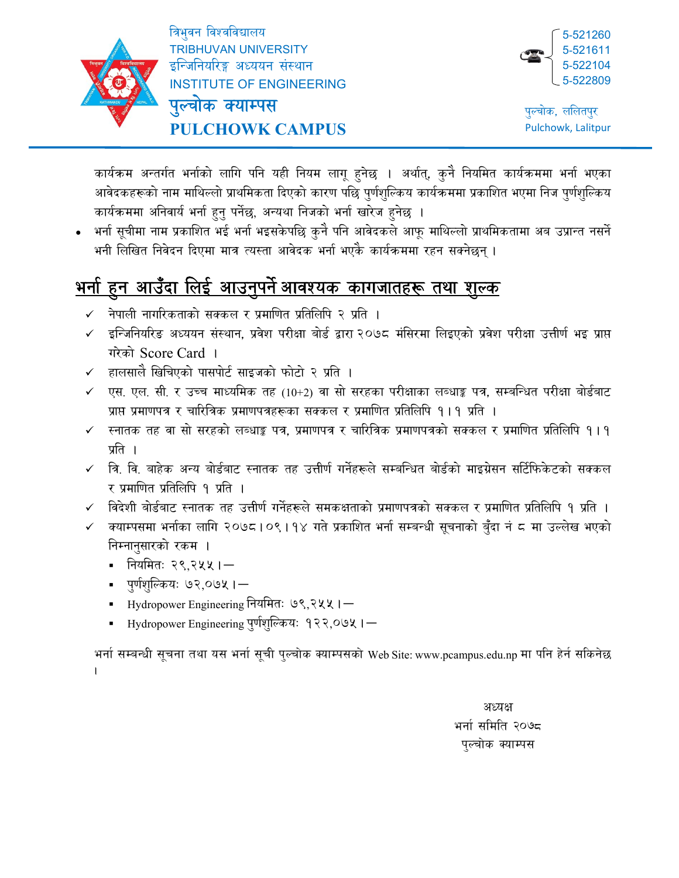

ł

त्रिभुवन विश्वविद्यालय TRIBHUVAN UNIVERSITY इन्जिनियरिङ्ग अध्ययन संस्थान INSTITUTE OF ENGINEERING

पुल्चोक क्याम्पस **PULCHOWK CAMPUS**



पल्चोक, ललितपुर Pulchowk, Lalitpur

कार्यक्रम अन्तर्गत भर्नाको लागि पनि यही नियम लागू हुनेछ । अर्थात्, कुनै नियमित कार्यक्रममा भर्ना भएका आवेदकहरूको नाम माथिल्लो प्राथमिकता दिएको कारण पछि पुर्णशुल्किय कार्यक्रममा प्रकाशित भएमा निज पुर्णशुल्किय कार्यक्रममा अनिवार्य भर्ना हुनु पर्नेछ, अन्यथा निजको भर्ना खारेज हुनेछ ।

भर्ना सूचीमा नाम प्रकाशित भई भर्ना भइसकेपछि कुनै पनि आवेदकले आफू माथिल्लो प्राथमिकतामा अब उप्रान्त नसर्ने भनी लिखित निवेदन दिएमा मात्र त्यस्ता आवेदक भर्ना भएकै कार्यक्रममा रहन सक्नेछन् ।

#### <u>भनो हुन आउँदा लिई आउनुपर्न आवश्यक कांगजातहरू तथा शुल्क</u> ु ु

- $\checkmark$  नेपाली नागरिकताको सक्कल र प्रमाणित प्रतिलिपि २ प्रति ।
- $\checkmark$  इन्जिनियरिङ अध्ययन संस्थान, प्रवेश परीक्षा बोर्ड द्वारा २०७८ मंसिरमा लिइएको प्रवेश परीक्षा उत्तीर्ण भइ प्राप्त गरेको Score Card ।
- हालसालै खिचिएको पासपोर्ट साइजको फोटो २ प्रति ।
- एस. एल. सी. र उच्च माध्यमिक तह (10+2) वा सो सरहका परीक्षाका लब्धाङ्क पत्र, सम्बन्धित परीक्षा बोर्डबाट प्राप्त प्रमाणपत्र र चारित्रिक प्रमाणपत्रहरूका सक्कल र प्रमाणित प्रतिलिपि १।१ प्रति ।
- स्नातक तह वा सो सरहको लब्धाङ्क पत्र. प्रमाणपत्र र चारित्रिक प्रमाणपत्रको सक्कल र प्रमाणित प्रतिलिपि १।१ प्रति ।
- $\checkmark$  त्रि. वि. बाहेक अन्य बोर्डबाट स्नातक तह उत्तीर्ण गर्नेहरूले सम्बन्धित बोर्डको माइग्रेसन सर्टिफिकेटको सक्कल र प्रमाणित प्रतिलिपि १ प्रति ।
- $\checkmark$  विदेशी बोर्डबाट स्नातक तह उत्तीर्ण गर्नेहरूले समकक्षताको प्रमाणपत्रको सक्कल र प्रमाणित प्रतिलिपि १ प्रति ।
- क्याम्पसमा भर्नाका लागि २०७८।०९।१४ गते प्रकाशित भर्ना सम्बन्धी सूचनाको बुँदा नं ८ मा उल्लेख भएको निम्नानुसारको रकम ।
	- नियमितः २९,२५५। $-$
	- ्पूर्णशुल्कियः ७२,०७५।—
	- Hydropower Engineering नियमितः ७९,२५५।
	- Hydropower Engineering पुर्णशुल्कियः १२२,०७५। $-$

भर्ना सम्बन्धी सूचना तथा यस भर्ना सूची पुल्चोक क्याम्पसको Web Site: www.pcampus.edu.np मा पनि हेर्न सकिनेछ .

> अध्यक्ष भर्ना समिति २०७८ पुल्चोक क्याम्पस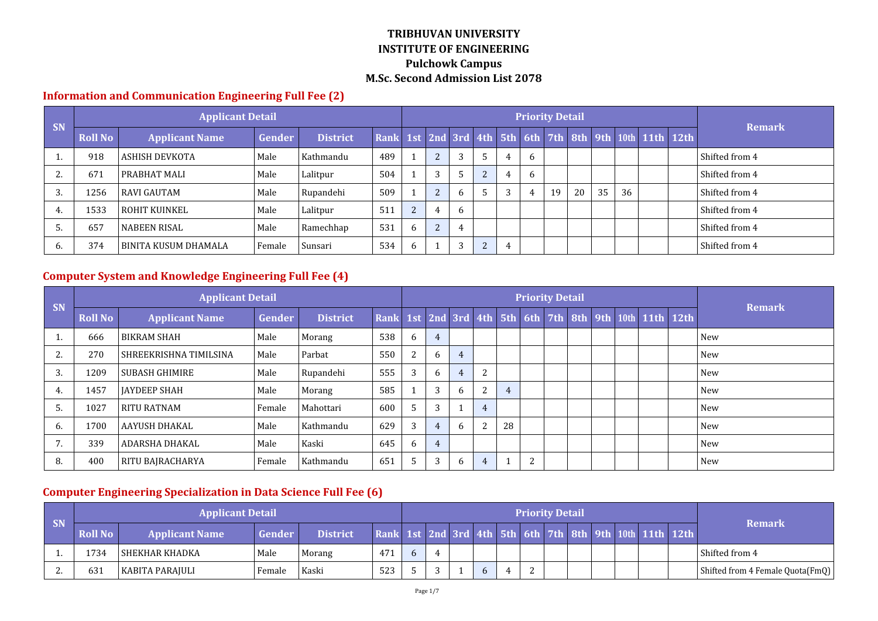#### **Information and Communication Engineering Full Fee (2)**

| <b>SN</b> |                | <b>Applicant Detail</b> |        |                 |     |              |                |    |   |   | <b>Priority Detail</b> |    |    |    |                                                         |                |
|-----------|----------------|-------------------------|--------|-----------------|-----|--------------|----------------|----|---|---|------------------------|----|----|----|---------------------------------------------------------|----------------|
|           | <b>Roll No</b> | <b>Applicant Name</b>   | Gender | <b>District</b> |     |              |                |    |   |   |                        |    |    |    | Rank 1st 2nd 3rd 4th 5th 6th 7th 8th 9th 10th 11th 12th | <b>Remark</b>  |
|           | 918            | ASHISH DEVKOTA          | Male   | Kathmandu       | 489 |              | $\overline{2}$ |    | 4 | 6 |                        |    |    |    |                                                         | Shifted from 4 |
|           | 671            | l PRABHAT MALI          | Male   | Lalitpur        | 504 |              | 3              |    |   | 6 |                        |    |    |    |                                                         | Shifted from 4 |
| Ĵ.        | 1256           | <b>RAVI GAUTAM</b>      | Male   | Rupandehi       | 509 |              | 2              | _რ | 3 | 4 | 19                     | 20 | 35 | 36 |                                                         | Shifted from 4 |
|           | 1533           | ROHIT KUINKEL           | Male   | Lalitpur        | 511 | $\mathbf{r}$ |                | h  |   |   |                        |    |    |    |                                                         | Shifted from 4 |
|           | 657            | NABEEN RISAL            | Male   | Ramechhap       | 531 |              | $\overline{2}$ | 4  |   |   |                        |    |    |    |                                                         | Shifted from 4 |
|           | 374            | BINITA KUSUM DHAMALA    | Female | Sunsari         | 534 | h            |                | 3  | 4 |   |                        |    |    |    |                                                         | Shifted from 4 |

# **Computer System and Knowledge Engineering Full Fee (4)**

|                |                | <b>Applicant Detail</b> |          |                 |                                                         |    |                |              |                |                | <b>Priority Detail</b> |  |  |  |               |
|----------------|----------------|-------------------------|----------|-----------------|---------------------------------------------------------|----|----------------|--------------|----------------|----------------|------------------------|--|--|--|---------------|
| <b>SN</b>      | <b>Roll No</b> | <b>Applicant Name</b>   | Gender   | <b>District</b> | Rank 1st 2nd 3rd 4th 5th 6th 7th 8th 9th 10th 11th 12th |    |                |              |                |                |                        |  |  |  | <b>Remark</b> |
|                | 666            | <b>BIKRAM SHAH</b>      | Male     | Morang          | 538                                                     | 6  | $\overline{4}$ |              |                |                |                        |  |  |  | New           |
| 2.             | 270            | SHREEKRISHNA TIMILSINA  | Male     | Parbat          | 550                                                     | 2  | 6              | 4            |                |                |                        |  |  |  | New           |
| 3.             | 1209           | <b>SUBASH GHIMIRE</b>   | Male     | Rupandehi       | 555                                                     | 3  | 6              | 4            |                |                |                        |  |  |  | New           |
| 4.             | 1457           | <b>JAYDEEP SHAH</b>     | Male     | Morang          | 585                                                     |    | 3              | <sub>b</sub> |                | $\overline{4}$ |                        |  |  |  | New           |
| .5             | 1027           | <b>RITU RATNAM</b>      | l Female | Mahottari       | 600                                                     | 5. | 3              |              | $\overline{4}$ |                |                        |  |  |  | <b>New</b>    |
| 6.             | 1700           | AAYUSH DHAKAL           | Male     | Kathmandu       | 629                                                     | 3  | $\overline{4}$ | <sub>b</sub> |                | 28             |                        |  |  |  | <b>New</b>    |
| $\overline{7}$ | 339            | <b>ADARSHA DHAKAL</b>   | Male     | Kaski           | 645                                                     | 6  | $\overline{4}$ |              |                |                |                        |  |  |  | New           |
| 8.             | 400            | <b>RITU BAJRACHARYA</b> | l Female | Kathmandu       | 651                                                     | 5  | 3              | b            | 4              |                | 2                      |  |  |  | New           |

# **Computer Engineering Specialization in Data Science Full Fee (6)**

| <b>SN</b> |                | <b>Applicant Detail</b> |        |                 |                                                         |  |  |          | <b>Priority Detail</b> |  |  | <b>Remark</b>                    |
|-----------|----------------|-------------------------|--------|-----------------|---------------------------------------------------------|--|--|----------|------------------------|--|--|----------------------------------|
|           | <b>Roll No</b> | <b>Applicant Name</b>   | Gender | <b>District</b> | Rank 1st 2nd 3rd 4th 5th 6th 7th 8th 9th 10th 11th 12th |  |  |          |                        |  |  |                                  |
|           | 1734           | SHEKHAR KHADKA          | Male   | Morang          | 471                                                     |  |  |          |                        |  |  | Shifted from 4                   |
| <u>L.</u> | 631            | KABITA PARAJULI         | Female | Kaski           | 523                                                     |  |  | $\Omega$ |                        |  |  | Shifted from 4 Female Quota(FmQ) |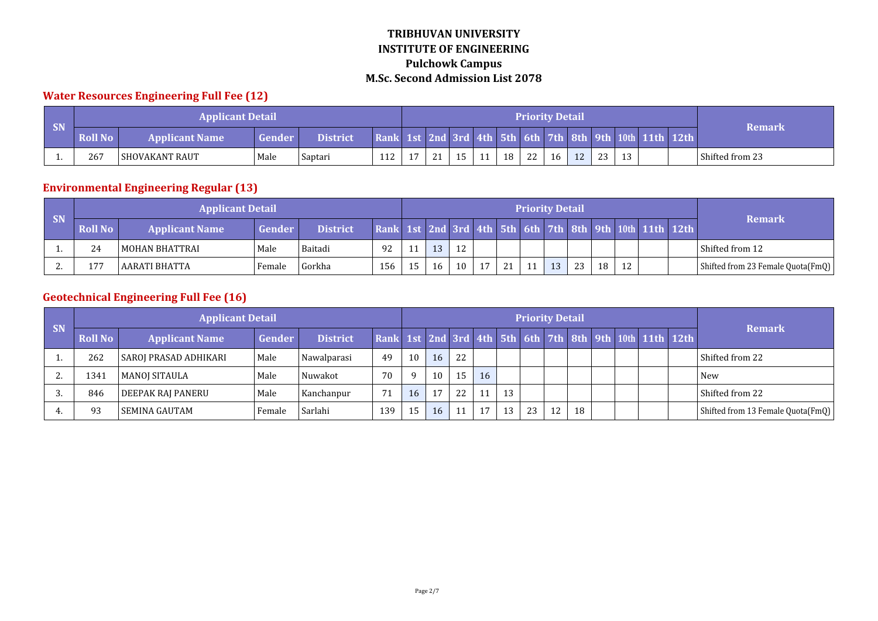# **Water Resources Engineering Full Fee (12)**

|                             |                | <b>Applicant Detail</b> |        |                 |                                               |  |     |    | <b>Priority Detail</b> |    |    |     |    |             |                 |
|-----------------------------|----------------|-------------------------|--------|-----------------|-----------------------------------------------|--|-----|----|------------------------|----|----|-----|----|-------------|-----------------|
| $\overline{\phantom{a}}$ SN | <b>Roll No</b> | <b>Applicant Name</b>   | Gender | <b>District</b> | Rank 1st 2nd 3rd 4th 5th 6th 7th 8th 9th 10th |  |     |    |                        |    |    |     |    | $11th$ 12th | Remark          |
|                             | 267            | l SHOVAKANT RAUT        | Male   | Saptari         | 112                                           |  | . . | 18 | 22                     | 16 | 12 | ົາາ | 12 |             | Shifted from 23 |

# **Environmental Engineering Regular (13)**

|          |                | <b>Applicant Detail</b> |        |                 |                                                         |    |    |    | <b>Priority Detail</b> |    |    |    |    |    |  |                                   |
|----------|----------------|-------------------------|--------|-----------------|---------------------------------------------------------|----|----|----|------------------------|----|----|----|----|----|--|-----------------------------------|
| / SN     | <b>Roll No</b> | <b>Applicant Name</b>   | Gender | <b>District</b> | Rank 1st 2nd 3rd 4th 5th 6th 7th 8th 9th 10th 11th 12th |    |    |    |                        |    |    |    |    |    |  | <b>Remark</b>                     |
|          | 24             | MOHAN BHATTRAI          | Male   | Baitadi         | 92                                                      | 13 | 12 |    |                        |    |    |    |    |    |  | l Shifted from 12                 |
| <u>.</u> | 177            | l AARATI BHATTA         | Female | Gorkha          | 156                                                     | 16 | 10 | 17 | 21                     | 11 | 13 | 23 | 18 | 12 |  | Shifted from 23 Female Quota(FmQ) |

# **Geotechnical Engineering Full Fee (16)**

| <b>SN</b> |                | <b>Applicant Detail</b>  |        |                 |                                                         |          |    |    |    |    | <b>Priority Detail</b> |    |    |  |  | <b>Remark</b>                     |
|-----------|----------------|--------------------------|--------|-----------------|---------------------------------------------------------|----------|----|----|----|----|------------------------|----|----|--|--|-----------------------------------|
|           | <b>Roll No</b> | <b>Applicant Name</b>    | Gender | <b>District</b> | Rank 1st 2nd 3rd 4th 5th 6th 7th 8th 9th 10th 11th 12th |          |    |    |    |    |                        |    |    |  |  |                                   |
|           | 262            | SAROJ PRASAD ADHIKARI    | Male   | Nawalparasi     | 49                                                      | 10       | 16 | 22 |    |    |                        |    |    |  |  | Shifted from 22                   |
| <u>.</u>  | 1341           | MANOJ SITAULA            | Male   | Nuwakot         | 70                                                      | $\alpha$ | 10 | 15 | 16 |    |                        |    |    |  |  | <b>New</b>                        |
|           | 846            | <b>DEEPAK RAJ PANERU</b> | Male   | Kanchanpur      | 71                                                      | 16       | 17 | 22 | 11 | 13 |                        |    |    |  |  | Shifted from 22                   |
|           | 93             | <b>SEMINA GAUTAM</b>     | Female | Sarlahi         | 139                                                     | 15       | 16 | 11 |    | 13 | 23                     | 12 | 18 |  |  | Shifted from 13 Female Quota(FmQ) |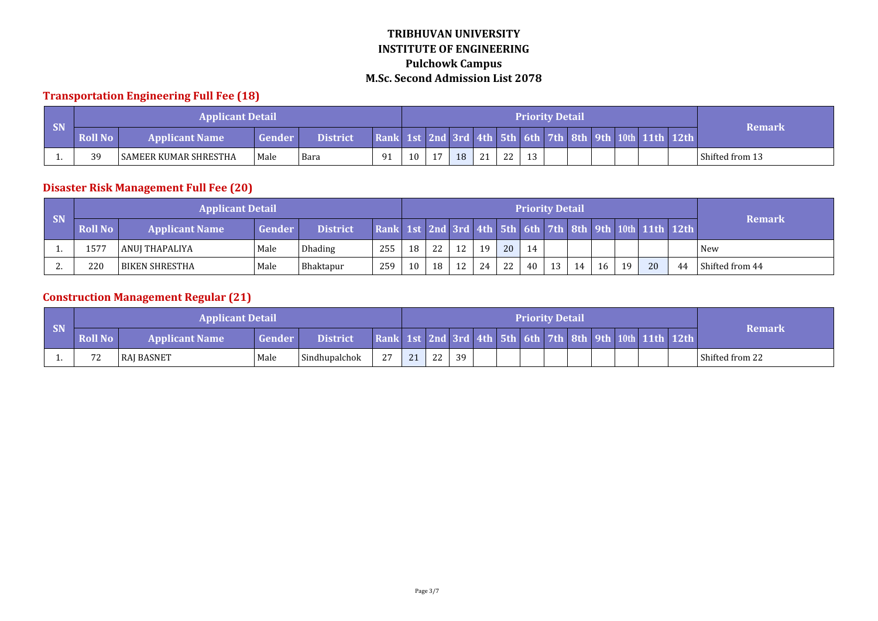#### **Transportation Engineering Full Fee (18)**

|    |                | <b>Applicant Detail</b> |        |                 |                                               |    |    |    |    |              |    | <b>Priority Detail</b> |  |  |             |                   |
|----|----------------|-------------------------|--------|-----------------|-----------------------------------------------|----|----|----|----|--------------|----|------------------------|--|--|-------------|-------------------|
| SN | <b>Roll No</b> | <b>Applicant Name</b>   | Gender | <b>District</b> | Rank 1st 2nd 3rd 4th 5th 6th 7th 8th 9th 10th |    |    |    |    |              |    |                        |  |  | $11th$ 12th | Remark            |
|    | 39             | ' SAMEER KUMAR SHRESTHA | Male   | Bara            | 91                                            | 10 | 17 | 18 | 24 | $\mathbf{a}$ | 13 |                        |  |  |             | l Shifted from 13 |

# **Disaster Risk Management Full Fee (20)**

| <b>SN</b> |                | <b>Applicant Detail</b> |               |                 |                                                         |    |    |    |      |    |    | <b>Priority Detail</b> |    |    |    |    |    | <b>Remark</b>   |
|-----------|----------------|-------------------------|---------------|-----------------|---------------------------------------------------------|----|----|----|------|----|----|------------------------|----|----|----|----|----|-----------------|
|           | <b>Roll No</b> | <b>Applicant Name</b>   | <b>Gender</b> | <b>District</b> | Rank 1st 2nd 3rd 4th 5th 6th 7th 8th 9th 10th 11th 12th |    |    |    |      |    |    |                        |    |    |    |    |    |                 |
|           | 1577           | l ANUI THAPALIYA        | Male          | Dhading         | 255                                                     | 18 | 22 | 12 | 19   | 20 | 14 |                        |    |    |    |    |    | New             |
| . .       | 220            | <b>BIKEN SHRESTHA</b>   | Male          | Bhaktapur       | 259                                                     | 10 | 18 | 12 | 24 l | 22 | 40 | 13                     | 14 | 16 | 19 | 20 | 44 | Shifted from 44 |

# **Construction Management Regular (21)**

|    |                | <b>Applicant Detail</b> |        |                 |      |              |          |    |  | <b>Priority Detail</b> |  |                                                    |                 |
|----|----------------|-------------------------|--------|-----------------|------|--------------|----------|----|--|------------------------|--|----------------------------------------------------|-----------------|
| SN | <b>Roll No</b> | <b>Applicant Name</b>   | Gender | <b>District</b> | Rank |              |          |    |  |                        |  | 1st 2nd 3rd 4th 5th 6th 7th 8th 9th 10th 11th 12th | Remark          |
|    | 72             | <b>RAI BASNET</b>       | Male   | Sindhupalchok   | רי   | $\mathbf{a}$ | つつ<br>▵▵ | 39 |  |                        |  |                                                    | Shifted from 22 |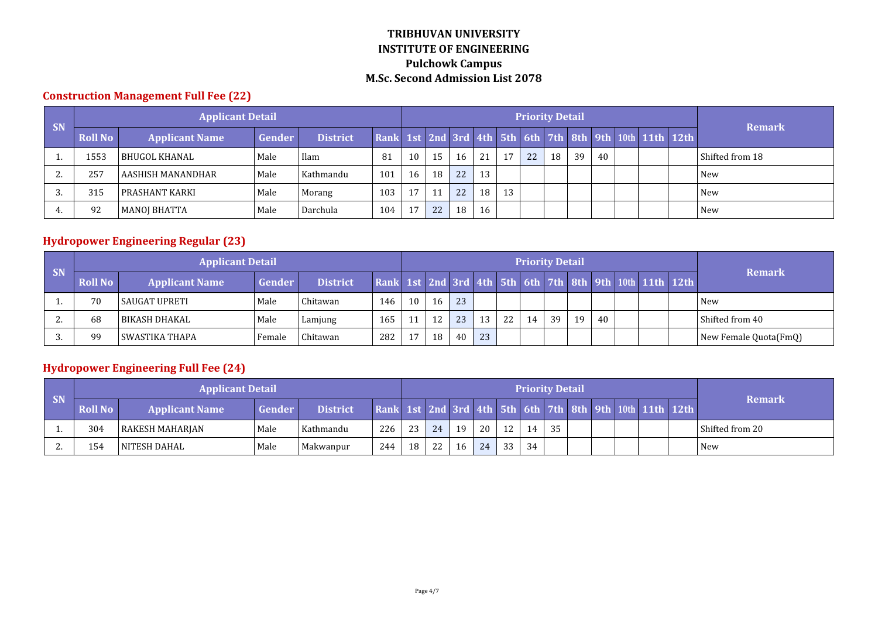#### **Construction Management Full Fee (22)**

| <b>SN</b> |                | <b>Applicant Detail</b> |        |                 |                                                         |    |    |    |    |    | <b>Priority Detail</b> |    |    |    |  | <b>Remark</b>   |
|-----------|----------------|-------------------------|--------|-----------------|---------------------------------------------------------|----|----|----|----|----|------------------------|----|----|----|--|-----------------|
|           | <b>Roll No</b> | <b>Applicant Name</b>   | Gender | <b>District</b> | Rank 1st 2nd 3rd 4th 5th 6th 7th 8th 9th 10th 11th 12th |    |    |    |    |    |                        |    |    |    |  |                 |
|           | 1553           | BHUGOL KHANAL           | Male   | Ilam            | 81                                                      | 10 | 15 | 16 | 21 |    | 22                     | 18 | 39 | 40 |  | Shifted from 18 |
| <u>.</u>  | 257            | AASHISH MANANDHAR       | Male   | Kathmandu       | 101                                                     | 16 | 18 | 22 | 13 |    |                        |    |    |    |  | l New           |
|           | 315            | PRASHANT KARKI          | Male   | Morang          | 103                                                     | 17 | 11 | 22 | 18 | 13 |                        |    |    |    |  | <b>New</b>      |
|           | 92             | <b>MANOJ BHATTA</b>     | Male   | Darchula        | 104                                                     |    | 22 | 18 | 16 |    |                        |    |    |    |  | l New           |

# **Hydropower Engineering Regular (23)**

| SN       |                | <b>Applicant Detail</b> |        |                      |     |    |    |    |    |    |    | <b>Priority Detail</b> |    |    |  |                                                         | <b>Remark</b>         |
|----------|----------------|-------------------------|--------|----------------------|-----|----|----|----|----|----|----|------------------------|----|----|--|---------------------------------------------------------|-----------------------|
|          | <b>Roll No</b> | <b>Applicant Name</b>   | Gender | <b>District</b>      |     |    |    |    |    |    |    |                        |    |    |  | Rank 1st 2nd 3rd 4th 5th 6th 7th 8th 9th 10th 11th 12th |                       |
|          | 70             | SAUGAT UPRETI           | Male   | hitawan <sup>.</sup> | 146 | 10 | 16 | 23 |    |    |    |                        |    |    |  |                                                         | <b>New</b>            |
| <u>.</u> | 68             | l BIKASH DHAKAL         | Male   | Lamjung              | 165 |    | 12 | 23 | 13 | 22 | 14 | 39                     | 19 | 40 |  |                                                         | Shifted from 40       |
|          | 99             | l SWASTIKA THAPA        | Female | Chitawan             | 282 |    | 18 | 40 | 23 |    |    |                        |    |    |  |                                                         | New Female Quota(FmQ) |

# **Hydropower Engineering Full Fee (24)**

|           |                | <b>Applicant Detail</b> |        |           |                                                         |    |    |    |                 |    |    | <b>Priority Detail</b> |  |  |                 |
|-----------|----------------|-------------------------|--------|-----------|---------------------------------------------------------|----|----|----|-----------------|----|----|------------------------|--|--|-----------------|
| <b>SN</b> | <b>Roll No</b> | <b>Applicant Name</b>   | Gender | District. | Rank 1st 2nd 3rd 4th 5th 6th 7th 8th 9th 10th 11th 12th |    |    |    |                 |    |    |                        |  |  | <b>Remark</b>   |
|           | 304            | RAKESH MAHARJAN         | Male   | Kathmandu | 226                                                     | 23 | 24 | 19 | 20 <sup>1</sup> | 12 | 14 | 35                     |  |  | Shifted from 20 |
| <u>L.</u> | 154            | NITESH DAHAL            | Male   | Makwanpur | 244                                                     | 18 | 22 | 16 | 24              | 33 | 34 |                        |  |  | <b>New</b>      |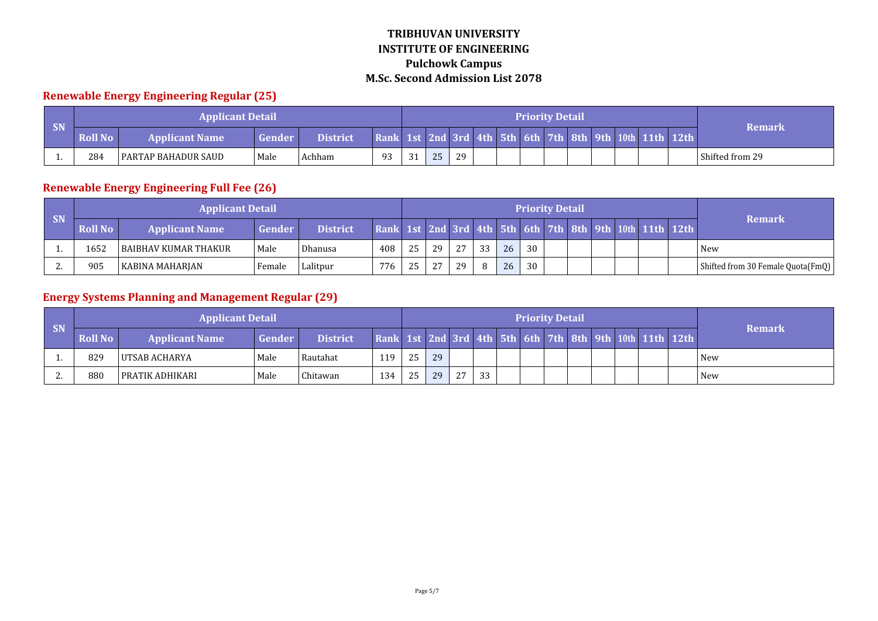# **Renewable Energy Engineering Regular (25)**

|           |                | <b>Applicant Detail</b>      |               |                 |                                               |    |    |    |  | <b>Priority Detail</b> |  |  |           |                 |
|-----------|----------------|------------------------------|---------------|-----------------|-----------------------------------------------|----|----|----|--|------------------------|--|--|-----------|-----------------|
| <b>SN</b> | <b>Roll No</b> | <b>Applicant Name</b>        | <b>Gender</b> | <b>District</b> | Rank 1st 2nd 3rd 4th 5th 6th 7th 8th 9th 10th |    |    |    |  |                        |  |  | 11th 12th | Remark          |
|           | 284            | <b>I PARTAP BAHADUR SAUD</b> | Male          | Achham          | 93                                            | 24 | 25 | 29 |  |                        |  |  |           | Shifted from 29 |

#### **Renewable Energy Engineering Full Fee (26)**

|           |                | <b>Applicant Detail</b> |               |                 |                                                         |    |    |    |    |    |    | <b>Priority Detail</b> |  |  |                                   |
|-----------|----------------|-------------------------|---------------|-----------------|---------------------------------------------------------|----|----|----|----|----|----|------------------------|--|--|-----------------------------------|
| <b>SN</b> | <b>Roll No</b> | <b>Applicant Name</b>   | <b>Gender</b> | <b>District</b> | Rank 1st 2nd 3rd 4th 5th 6th 7th 8th 9th 10th 11th 12th |    |    |    |    |    |    |                        |  |  | <b>Remark</b>                     |
|           | 1652           | I BAIBHAV KUMAR THAKUR  | Male          | Dhanusa         | 408                                                     | 25 | 29 | 27 | 33 | 26 | 30 |                        |  |  | <b>New</b>                        |
|           | 905            | KABINA MAHARJAN         | Female        | Lalitpur        | 776                                                     | 25 | 27 | 29 | 8  | 26 | 30 |                        |  |  | Shifted from 30 Female Quota(FmQ) |

# **Energy Systems Planning and Management Regular (29)**

|           |                | <b>Applicant Detail</b> |        |                 |                                                         |    |    |    |    |  | <b>Priority Detail</b> |  |  |               |
|-----------|----------------|-------------------------|--------|-----------------|---------------------------------------------------------|----|----|----|----|--|------------------------|--|--|---------------|
| <b>SN</b> | <b>Roll No</b> | <b>Applicant Name</b>   | Gender | <b>District</b> | Rank 1st 2nd 3rd 4th 5th 6th 7th 8th 9th 10th 11th 12th |    |    |    |    |  |                        |  |  | <b>Remark</b> |
|           | 829            | UTSAB ACHARYA           | Male   | Rautahat        | 119                                                     | 25 | 29 |    |    |  |                        |  |  | <b>New</b>    |
| <u>.</u>  | 880            | l PRATIK ADHIKARI       | Male   | Chitawan        | 134                                                     | 25 | 29 | 27 | 33 |  |                        |  |  | <b>New</b>    |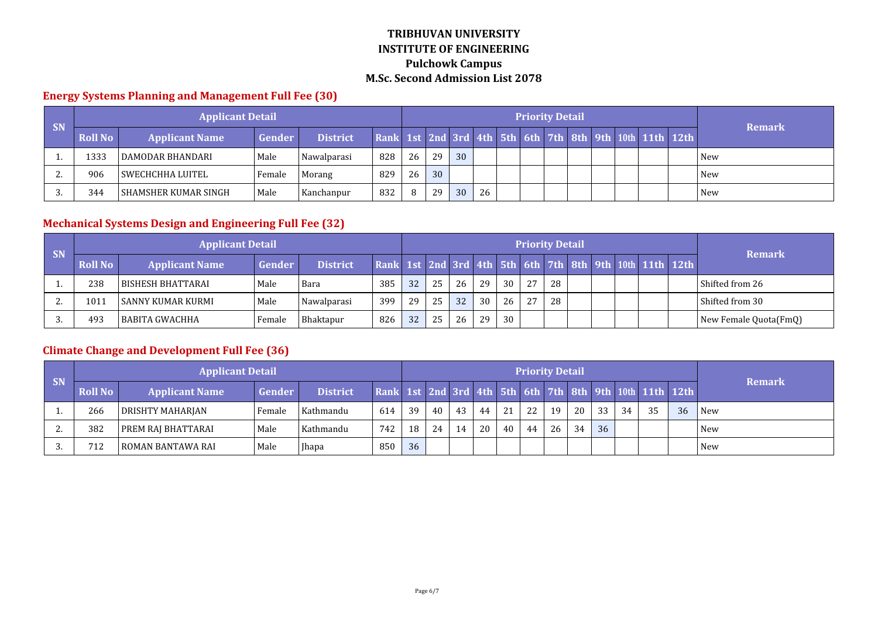#### **Energy Systems Planning and Management Full Fee (30)**

| <b>SN</b> |                | <b>Applicant Detail</b>       |               |                 |                                                         |    |    |    |    | <b>Priority Detail</b> |  |  |  | <b>Remark</b> |
|-----------|----------------|-------------------------------|---------------|-----------------|---------------------------------------------------------|----|----|----|----|------------------------|--|--|--|---------------|
|           | <b>Roll No</b> | <b>Applicant Name</b>         | <b>Gender</b> | <b>District</b> | Rank 1st 2nd 3rd 4th 5th 6th 7th 8th 9th 10th 11th 12th |    |    |    |    |                        |  |  |  |               |
|           | 1333           | DAMODAR BHANDARI              | Male          | Nawalparasi     | 828                                                     | 26 | 29 | 30 |    |                        |  |  |  | l New         |
| <u>.</u>  | 906            | l SWECHCHHA LUITEL            | Female        | Morang          | 829                                                     | 26 | 30 |    |    |                        |  |  |  | New           |
|           | 344            | <b>I SHAMSHER KUMAR SINGH</b> | Male          | Kanchanpur      | 832                                                     | 8  | 29 | 30 | 26 |                        |  |  |  | l New         |

# **Mechanical Systems Design and Engineering Full Fee (32)**

| <b>SN</b> |                | <b>Applicant Detail</b> |        |                 |                                                         |    |    |    |    |    | <b>Priority Detail</b> |    |  |  | <b>Remark</b>         |
|-----------|----------------|-------------------------|--------|-----------------|---------------------------------------------------------|----|----|----|----|----|------------------------|----|--|--|-----------------------|
|           | <b>Roll No</b> | <b>Applicant Name</b>   | Gender | <b>District</b> | Rank 1st 2nd 3rd 4th 5th 6th 7th 8th 9th 10th 11th 12th |    |    |    |    |    |                        |    |  |  |                       |
|           | 238            | l BISHESH BHATTARAI     | Male   | Bara            | 385                                                     | 32 | 25 | 26 | 29 | 30 | 27                     | 28 |  |  | Shifted from 26       |
|           | 1011           | l SANNY KUMAR KURMI     | Male   | Nawalparasi     | 399                                                     | 29 | 25 | 32 | 30 | 26 | 27                     | 28 |  |  | Shifted from 30       |
|           | 493            | l BABITA GWACHHA        | Female | Bhaktapur       | 826                                                     | 32 | 25 | 26 | 29 | 30 |                        |    |  |  | New Female Quota(FmQ) |

# **Climate Change and Development Full Fee (36)**

| <b>SN</b> |                | <b>Applicant Detail</b> |        |                 |                                                         |    |    |    |    |     | <b>Priority Detail</b> |    |    |    |    |     |    | <b>Remark</b> |
|-----------|----------------|-------------------------|--------|-----------------|---------------------------------------------------------|----|----|----|----|-----|------------------------|----|----|----|----|-----|----|---------------|
|           | <b>Roll No</b> | <b>Applicant Name</b>   | Gender | <b>District</b> | Rank 1st 2nd 3rd 4th 5th 6th 7th 8th 9th 10th 11th 12th |    |    |    |    |     |                        |    |    |    |    |     |    |               |
|           | 266            | DRISHTY MAHARJAN        | Female | Kathmandu       | 614                                                     | 39 | 40 | 43 | 44 | 2.1 | 22                     | 19 | 20 | 33 | 34 | -35 | 36 | l New         |
| <u>L.</u> | 382            | PREM RAJ BHATTARAI      | Male   | Kathmandu       | 742                                                     | 18 | 24 | 14 | 20 | 40  | 44                     | 26 | 34 | 36 |    |     |    | <b>New</b>    |
|           | 712            | l ROMAN BANTAWA RAI     | Male   | <b>Ihapa</b>    | 850                                                     | 36 |    |    |    |     |                        |    |    |    |    |     |    | <b>New</b>    |